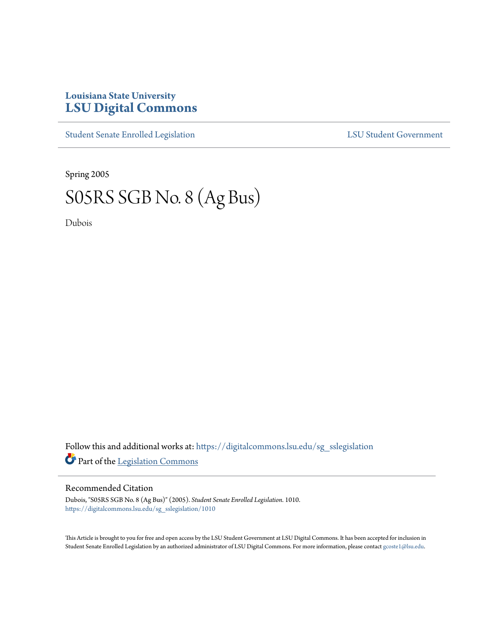## **Louisiana State University [LSU Digital Commons](https://digitalcommons.lsu.edu?utm_source=digitalcommons.lsu.edu%2Fsg_sslegislation%2F1010&utm_medium=PDF&utm_campaign=PDFCoverPages)**

[Student Senate Enrolled Legislation](https://digitalcommons.lsu.edu/sg_sslegislation?utm_source=digitalcommons.lsu.edu%2Fsg_sslegislation%2F1010&utm_medium=PDF&utm_campaign=PDFCoverPages) [LSU Student Government](https://digitalcommons.lsu.edu/sg?utm_source=digitalcommons.lsu.edu%2Fsg_sslegislation%2F1010&utm_medium=PDF&utm_campaign=PDFCoverPages)

Spring 2005

## S05RS SGB No. 8 (Ag Bus)

Dubois

Follow this and additional works at: [https://digitalcommons.lsu.edu/sg\\_sslegislation](https://digitalcommons.lsu.edu/sg_sslegislation?utm_source=digitalcommons.lsu.edu%2Fsg_sslegislation%2F1010&utm_medium=PDF&utm_campaign=PDFCoverPages) Part of the [Legislation Commons](http://network.bepress.com/hgg/discipline/859?utm_source=digitalcommons.lsu.edu%2Fsg_sslegislation%2F1010&utm_medium=PDF&utm_campaign=PDFCoverPages)

## Recommended Citation

Dubois, "S05RS SGB No. 8 (Ag Bus)" (2005). *Student Senate Enrolled Legislation*. 1010. [https://digitalcommons.lsu.edu/sg\\_sslegislation/1010](https://digitalcommons.lsu.edu/sg_sslegislation/1010?utm_source=digitalcommons.lsu.edu%2Fsg_sslegislation%2F1010&utm_medium=PDF&utm_campaign=PDFCoverPages)

This Article is brought to you for free and open access by the LSU Student Government at LSU Digital Commons. It has been accepted for inclusion in Student Senate Enrolled Legislation by an authorized administrator of LSU Digital Commons. For more information, please contact [gcoste1@lsu.edu.](mailto:gcoste1@lsu.edu)